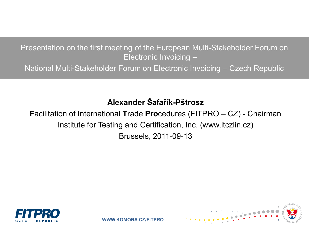Presentation on the first meeting of the European Multi-Stakeholder Forum on Electronic Invoicing –

National Multi-Stakeholder Forum on Electronic Invoicing – Czech Republic

### **Alexander Šafařík-Pštrosz**

**F**acilitation of **I**nternational **T**rade **Pro**cedures (FITPRO – CZ) - Chairman Institute for Testing and Certification, Inc. (www.itczlin.cz) Brussels, 2011-09-13



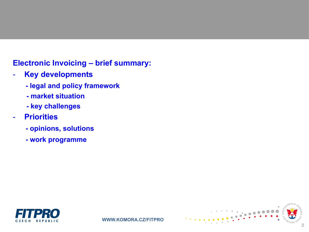- **Key developments**
	- **- legal and policy framework**
	- **- market situation**
	- **- key challenges**
- **Priorities**
	- **- opinions, solutions**
	- **- work programme**



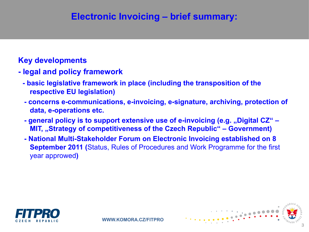#### **Key developments**

- **- legal and policy framework**
	- **- basic legislative framework in place (including the transposition of the respective EU legislation)**
	- **- concerns e-communications, e-invoicing, e-signature, archiving, protection of data, e-operations etc.**
	- **- general policy is to support extensive use of e-invoicing (e.g. "Digital CZ" – MIT, "Strategy of competitiveness of the Czech Republic" – Government)**
	- **- National Multi-Stakeholder Forum on Electronic Invoicing established on 8 September 2011 (**Status, Rules of Procedures and Work Programme for the first year approwed**)**



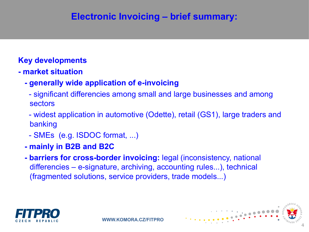### **Key developments**

- **- market situation**
	- **- generally wide application of e-invoicing** 
		- significant differencies among small and large businesses and among sectors
		- widest application in automotive (Odette), retail (GS1), large traders and banking

4

- SMEs (e.g. ISDOC format, ...)
- **- mainly in B2B and B2C**
- **- barriers for cross-border invoicing:** legal (inconsistency, national differencies – e-signature, archiving, accounting rules...), technical (fragmented solutions, service providers, trade models...)

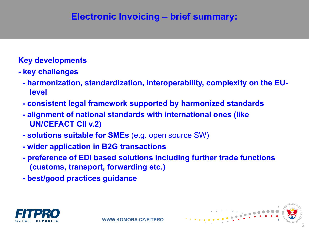#### **Key developments**

- **- key challenges**
	- **- harmonization, standardization, interoperability, complexity on the EUlevel**
	- **- consistent legal framework supported by harmonized standards**
	- **- alignment of national standards with international ones (like UN/CEFACT CII v.2)**
	- **- solutions suitable for SMEs** (e.g. open source SW)
	- **- wider application in B2G transactions**
	- **- preference of EDI based solutions including further trade functions (customs, transport, forwarding etc.)**
	- **- best/good practices guidance**



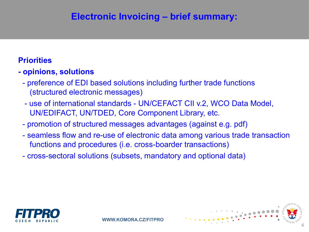#### **Priorities**

### **- opinions, solutions**

- preference of EDI based solutions including further trade functions (structured electronic messages)
- use of international standards UN/CEFACT CII v.2, WCO Data Model, UN/EDIFACT, UN/TDED, Core Component Library, etc.
- promotion of structured messages advantages (against e.g. pdf)
- seamless flow and re-use of electronic data among various trade transaction functions and procedures (i.e. cross-boarder transactions)
- cross-sectoral solutions (subsets, mandatory and optional data)